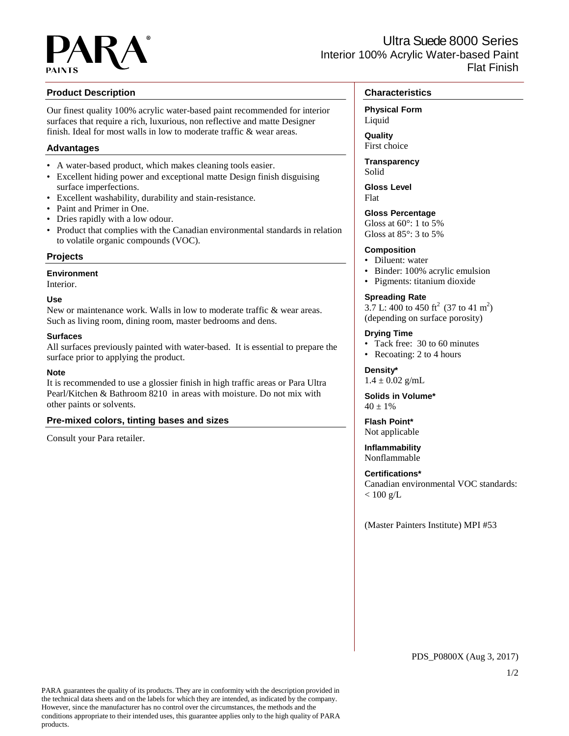## **Product Description**

Our finest quality 100% acrylic water-based paint recommended for interior surfaces that require a rich, luxurious, non reflective and matte Designer finish. Ideal for most walls in low to moderate traffic & wear areas.

# **Advantages**

- A water-based product, which makes cleaning tools easier.
- Excellent hiding power and exceptional matte Design finish disguising surface imperfections.
- Excellent washability, durability and stain-resistance.
- Paint and Primer in One.
- Dries rapidly with a low odour.
- Product that complies with the Canadian environmental standards in relation to volatile organic compounds (VOC).

## **Projects**

**Environment**

Interior.

## **Use**

New or maintenance work. Walls in low to moderate traffic & wear areas. Such as living room, dining room, master bedrooms and dens.

## **Surfaces**

All surfaces previously painted with water-based. It is essential to prepare the surface prior to applying the product.

## **Note**

It is recommended to use a glossier finish in high traffic areas or Para Ultra Pearl/Kitchen & Bathroom 8210 in areas with moisture. Do not mix with other paints or solvents.

## **Pre-mixed colors, tinting bases and sizes**

Consult your Para retailer.

# **Characteristics**

**Physical Form**

Liquid **Quality**

First choice

**Transparency** Solid

**Gloss Level** Flat

## **Gloss Percentage**

Gloss at  $60^\circ$ : 1 to 5% Gloss at 85°: 3 to 5%

# **Composition**

- Diluent: water
- Binder: 100% acrylic emulsion
- Pigments: titanium dioxide

## **Spreading Rate**

3.7 L: 400 to 450 ft<sup>2</sup> (37 to 41 m<sup>2</sup>) (depending on surface porosity)

## **Drying Time**

- Tack free: 30 to 60 minutes
- Recoating: 2 to 4 hours

**Density\***  $1.4 \pm 0.02$  g/mL

**Solids in Volume\***  $40 + 1\%$ 

# **Flash Point\***

Not applicable **Inflammability**

Nonflammable

# **Certifications\***

Canadian environmental VOC standards:  $< 100$  g/L

(Master Painters Institute) MPI #53